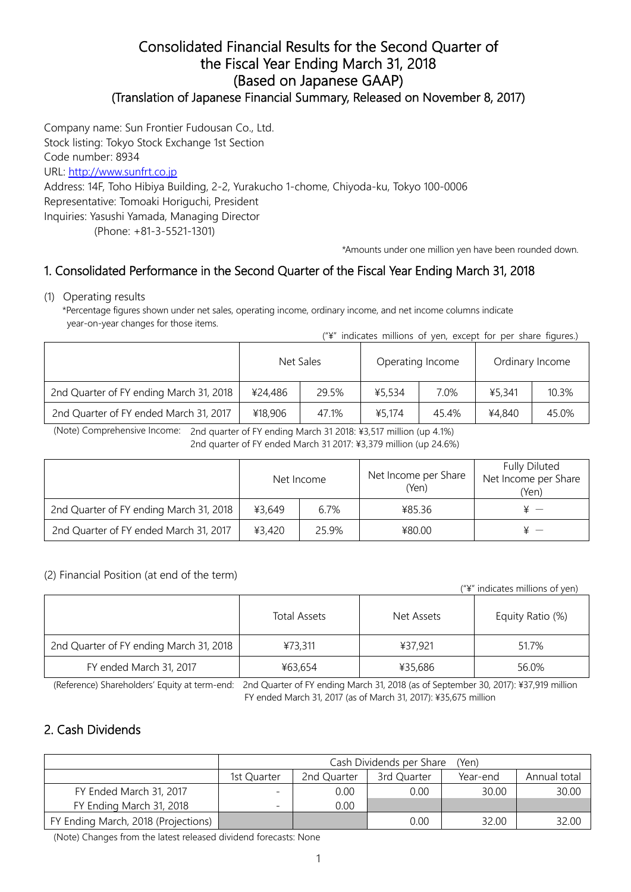#### Consolidated Financial Results for the Second Quarter of the Fiscal Year Ending March 31, 2018 (Based on Japanese GAAP) (Translation of Japanese Financial Summary, Released on November 8, 2017)

Company name: Sun Frontier Fudousan Co., Ltd. Stock listing: Tokyo Stock Exchange 1st Section Code number: 8934 URL: http://www.sunfrt.co.jp Address: 14F, Toho Hibiya Building, 2-2, Yurakucho 1-chome, Chiyoda-ku, Tokyo 100-0006 Representative: Tomoaki Horiguchi, President Inquiries: Yasushi Yamada, Managing Director (Phone: +81-3-5521-1301)

\*Amounts under one million yen have been rounded down.

## 1. Consolidated Performance in the Second Quarter of the Fiscal Year Ending March 31, 2018

(1) Operating results

\*Percentage figures shown under net sales, operating income, ordinary income, and net income columns indicate year-on-year changes for those items. ("¥" indicates millions of yen, except for per share figures.)

|                                         |           | + INDICATES INTITIONS OF YEAR EXCEPT TOP |                  |       | <b>PCI SHALE HUULES.</b> |       |
|-----------------------------------------|-----------|------------------------------------------|------------------|-------|--------------------------|-------|
|                                         | Net Sales |                                          | Operating Income |       | Ordinary Income          |       |
| 2nd Quarter of FY ending March 31, 2018 | ¥24,486   | 29.5%                                    | ¥5,534           | 7.0%  | ¥5.341                   | 10.3% |
| 2nd Quarter of FY ended March 31, 2017  | ¥18,906   | 47.1%                                    | ¥5.174           | 45.4% | ¥4,840                   | 45.0% |

(Note) Comprehensive Income: 2nd quarter of FY ending March 31 2018: ¥3,517 million (up 4.1%)

2nd quarter of FY ended March 31 2017: ¥3,379 million (up 24.6%)

|                                         |        | Net Income | Net Income per Share<br>(Yen) | <b>Fully Diluted</b><br>Net Income per Share<br>(Yen) |  |
|-----------------------------------------|--------|------------|-------------------------------|-------------------------------------------------------|--|
| 2nd Quarter of FY ending March 31, 2018 | ¥3.649 | 6.7%       | ¥85.36                        |                                                       |  |
| 2nd Quarter of FY ended March 31, 2017  | ¥3.420 | 25.9%      | ¥80.00                        |                                                       |  |

#### (2) Financial Position (at end of the term)

("¥" indicates millions of yen)

|                                         | Total Assets | Net Assets | Equity Ratio (%) |
|-----------------------------------------|--------------|------------|------------------|
| 2nd Quarter of FY ending March 31, 2018 | ¥73,311      | ¥37,921    | 51.7%            |
| FY ended March 31, 2017                 | ¥63,654      | ¥35,686    | 56.0%            |

(Reference) Shareholders' Equity at term-end: 2nd Quarter of FY ending March 31, 2018 (as of September 30, 2017): ¥37,919 million FY ended March 31, 2017 (as of March 31, 2017): ¥35,675 million

### 2. Cash Dividends

|                                     | Cash Dividends per Share<br>(Yen) |                                                        |      |       |       |  |  |  |  |  |
|-------------------------------------|-----------------------------------|--------------------------------------------------------|------|-------|-------|--|--|--|--|--|
|                                     | 1st Ouarter                       | 2nd Quarter<br>3rd Quarter<br>Annual total<br>Year-end |      |       |       |  |  |  |  |  |
| FY Ended March 31, 2017             |                                   | 0.00                                                   | 0.00 | 30.00 | 30.00 |  |  |  |  |  |
| FY Ending March 31, 2018            |                                   | 0.00                                                   |      |       |       |  |  |  |  |  |
| FY Ending March, 2018 (Projections) |                                   |                                                        | 0.00 | 32.00 |       |  |  |  |  |  |

(Note) Changes from the latest released dividend forecasts: None